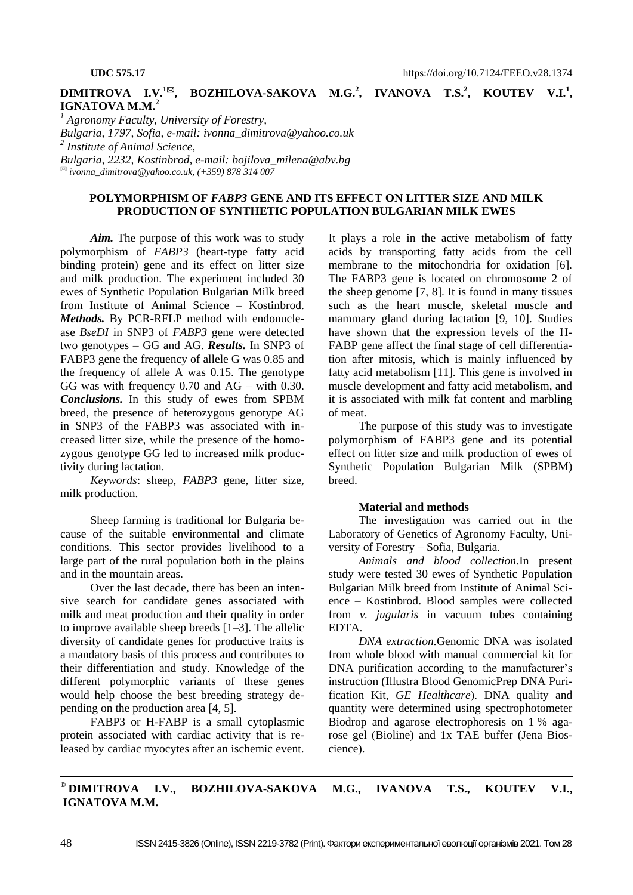# **DIMITROVA I.V.**<sup>1⊠</sup>, BOZHILOVA-SAKOVA M.G.<sup>2</sup>, IVANOVA T.S.<sup>2</sup>, KOUTEV V.I.<sup>1</sup>, **IGNATOVA M.M. 2©**

*<sup>1</sup> Agronomy Faculty, University of Forestry, Bulgaria, 1797, Sofia, e-mail: ivonna\_dimitrova@yahoo.co.uk 2 Institute of Animal Science, Bulgaria, 2232, Kostinbrod, e-mail: bojilova\_milena@abv.bg ivonna\_dimitrova@yahoo.co.uk, (+359) 878 314 007*

# **POLYMORPHISM OF** *FABP3* **GENE AND ITS EFFECT ON LITTER SIZE AND MILK PRODUCTION OF SYNTHETIC POPULATION BULGARIAN MILK EWES**

*Aim.* The purpose of this work was to study polymorphism of *FABP3* (heart-type fatty acid binding protein) gene and its effect on litter size and milk production. The experiment included 30 ewes of Synthetic Population Bulgarian Milk breed from Institute of Animal Science – Kostinbrod. *Methods.* By PCR-RFLP method with endonuclease *BseDI* in SNP3 of *FABP3* gene were detected two genotypes – GG and AG. *Results.* In SNP3 of FABP3 gene the frequency of allele G was 0.85 and the frequency of allele A was 0.15. The genotype GG was with frequency 0.70 and AG – with 0.30. *Conclusions.* In this study of ewes from SPBM breed, the presence of heterozygous genotype AG in SNP3 of the FABP3 was associated with increased litter size, while the presence of the homozygous genotype GG led to increased milk productivity during lactation.

*Keywords*: sheep, *FABP3* gene, litter size, milk production.

Sheep farming is traditional for Bulgaria because of the suitable environmental and climate conditions. This sector provides livelihood to a large part of the rural population both in the plains and in the mountain areas.

Over the last decade, there has been an intensive search for candidate genes associated with milk and meat production and their quality in order to improve available sheep breeds [1–3]. The allelic diversity of candidate genes for productive traits is a mandatory basis of this process and contributes to their differentiation and study. Knowledge of the different polymorphic variants of these genes would help choose the best breeding strategy depending on the production area [4, 5].

FABP3 or H-FABP is a small cytoplasmic protein associated with cardiac activity that is released by cardiac myocytes after an ischemic event.

It plays a role in the active metabolism of fatty acids by transporting fatty acids from the cell membrane to the mitochondria for oxidation [6]. The FABP3 gene is located on chromosome 2 of the sheep genome [7, 8]. It is found in many tissues such as the heart muscle, skeletal muscle and mammary gland during lactation [9, 10]. Studies have shown that the expression levels of the H-FABP gene affect the final stage of cell differentiation after mitosis, which is mainly influenced by fatty acid metabolism [11]. This gene is involved in muscle development and fatty acid metabolism, and it is associated with milk fat content and marbling of meat.

The purpose of this study was to investigate polymorphism of FABP3 gene and its potential effect on litter size and milk production of ewes of Synthetic Population Bulgarian Milk (SPBM) breed.

#### **Material and methods**

The investigation was carried out in the Laboratory of Genetics of Agronomy Faculty, University of Forestry – Sofia, Bulgaria.

*Animals and blood collection.*In present study were tested 30 ewes of Synthetic Population Bulgarian Milk breed from Institute of Animal Science – Kostinbrod. Blood samples were collected from *v. jugularis* in vacuum tubes containing EDTA.

*DNA extraction.*Genomic DNA was isolated from whole blood with manual commercial kit for DNA purification according to the manufacturer's instruction (Illustra Blood GenomicPrep DNA Purification Kit, *GE Healthcare*). DNA quality and quantity were determined using spectrophotometer Biodrop and agarose electrophoresis on 1 % agarose gel (Bioline) and 1x TAE buffer (Jena Bioscience).

 $\overline{\phantom{a}}$ 

<sup>©</sup> **DIMITROVA I.V., BOZHILOVA-SAKOVA M.G., IVANOVA T.S., KOUTEV V.I., IGNATOVA M.M.**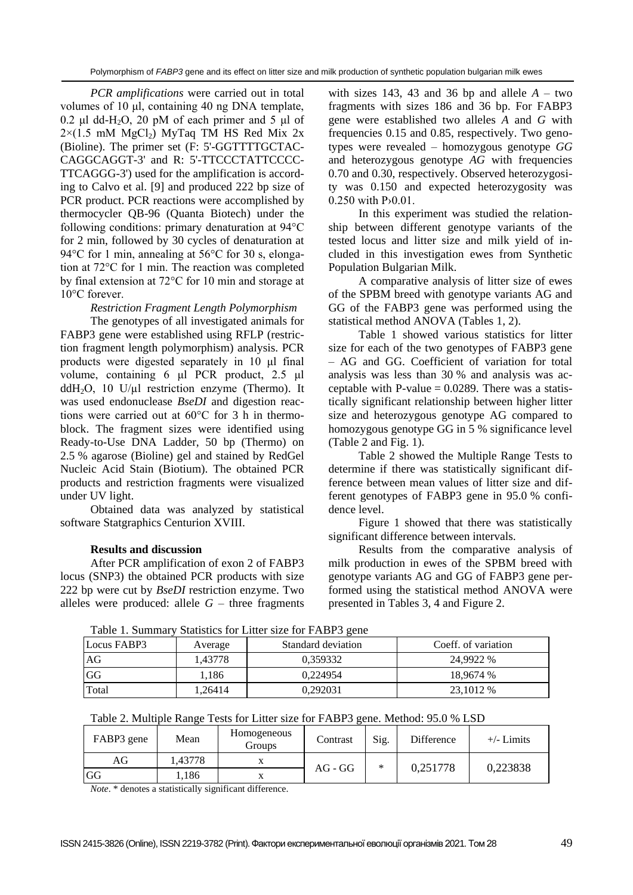*PCR amplifications* were carried out in total volumes of 10 μl, containing 40 ng DNA template, 0.2 μl dd-H<sub>2</sub>O, 20 pM of each primer and 5 μl of  $2\times(1.5 \text{ mM } MgCl<sub>2</sub>)$  MyTaq TM HS Red Mix 2x (Bioline). The primer set (F: 5'-GGTTTTGCTAC-CAGGCAGGT-3' and R: 5'-TTCCCTATTCCCC-TTCAGGG-3') used for the amplification is according to Calvo et al. [9] and produced 222 bp size of PCR product. PCR reactions were accomplished by thermocycler QB-96 (Quanta Biotech) under the following conditions: primary denaturation at 94°C for 2 min, followed by 30 cycles of denaturation at 94°C for 1 min, annealing at 56°C for 30 s, elongation at 72°C for 1 min. The reaction was completed by final extension at 72°C for 10 min and storage at 10°C forever.

### *Restriction Fragment Length Polymorphism*

The genotypes of all investigated animals for FABP3 gene were established using RFLP (restriction fragment length polymorphism) analysis. PCR products were digested separately in 10 μl final volume, containing 6 μl PCR product, 2.5 μl ddH<sub>2</sub>O, 10 U/ $\mu$ l restriction enzyme (Thermo). It was used endonuclease *BseDI* and digestion reactions were carried out at 60°C for 3 h in thermoblock. The fragment sizes were identified using Ready-to-Use DNA Ladder, 50 bp (Thermo) on 2.5 % agarose (Bioline) gel and stained by RedGel Nucleic Acid Stain (Biotium). The obtained PCR products and restriction fragments were visualized under UV light.

Obtained data was analyzed by statistical software Statgraphics Centurion XVIII.

### **Results and discussion**

After PCR amplification of exon 2 of FABP3 locus (SNP3) the obtained PCR products with size 222 bp were cut by *BseDI* restriction enzyme. Two alleles were produced: allele  $G$  – three fragments

with sizes 143, 43 and 36 bp and allele  $A - two$ fragments with sizes 186 and 36 bp. For FABP3 gene were established two alleles *A* and *G* with frequencies 0.15 and 0.85, respectively. Two genotypes were revealed – homozygous genotype *GG* and heterozygous genotype *AG* with frequencies 0.70 and 0.30, respectively. Observed heterozygosity was 0.150 and expected heterozygosity was 0.250 with P›0.01.

In this experiment was studied the relationship between different genotype variants of the tested locus and litter size and milk yield of included in this investigation ewes from Synthetic Population Bulgarian Milk.

A comparative analysis of litter size of ewes of the SPBM breed with genotype variants AG and GG of the FABP3 gene was performed using the statistical method ANOVA (Tables 1, 2).

Table 1 showed various statistics for litter size for each of the two genotypes of FABP3 gene – AG and GG. Coefficient of variation for total analysis was less than 30 % and analysis was acceptable with P-value  $= 0.0289$ . There was a statistically significant relationship between higher litter size and heterozygous genotype AG compared to homozygous genotype GG in 5 % significance level (Table 2 and Fig. 1).

Table 2 showed the Multiple Range Tests to determine if there was statistically significant difference between mean values of litter size and different genotypes of FABP3 gene in 95.0 % confidence level.

Figure 1 showed that there was statistically significant difference between intervals.

Results from the comparative analysis of milk production in ewes of the SPBM breed with genotype variants AG and GG of FABP3 gene performed using the statistical method ANOVA were presented in Tables 3, 4 and Figure 2.

Table 1. Summary Statistics for Litter size for FABP3 gene

| Locus FABP3 | Average | Standard deviation | Coeff. of variation |  |
|-------------|---------|--------------------|---------------------|--|
| AG          | 1.43778 | 0.359332           | 24.9922 %           |  |
| GG          | 1.186   | 0.224954           | 18.9674 %           |  |
| Total       | 1.26414 | 0,292031           | 23,1012 %           |  |

|  | Table 2. Multiple Range Tests for Litter size for FABP3 gene. Method: 95.0 % LSD |  |
|--|----------------------------------------------------------------------------------|--|
|  |                                                                                  |  |

| FABP3 gene | Mean   | Homogeneous<br>Groups | Contrast  | Sig.   | Difference | $+/-$ Limits |
|------------|--------|-----------------------|-----------|--------|------------|--------------|
| AG         | .43778 |                       | $AG - GG$ | $\ast$ |            |              |
| <b>GG</b>  | .186   |                       |           |        | 0,251778   | 0,223838     |

*Note*. \* denotes a statistically significant difference.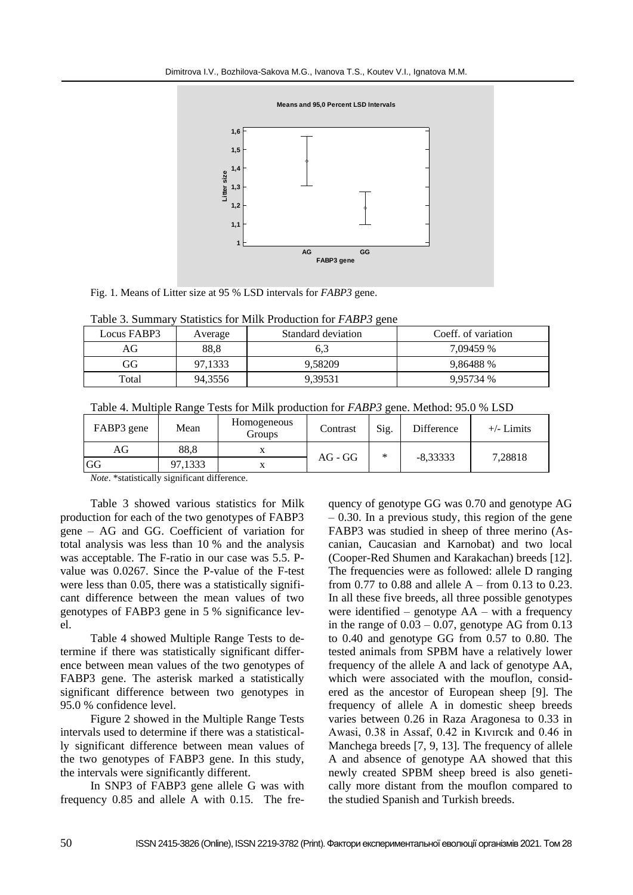

Fig. 1. Means of Litter size at 95 % LSD intervals for *FABP3* gene.

| raore si summar<br>$D$ and $D$ is the set of $\alpha$ is the set of $\alpha$ is the set of $D$ is $D$ if $D$ is $D$ is $D$ is $D$ is $D$ is $D$ is $D$ is $D$ is $D$ is $D$ is $D$ is $D$ is $D$ is $D$ is $D$ is $D$ is $D$ is $D$ is $D$ is $D$ is $D$ |         |                    |                     |  |  |
|----------------------------------------------------------------------------------------------------------------------------------------------------------------------------------------------------------------------------------------------------------|---------|--------------------|---------------------|--|--|
| Locus FABP3                                                                                                                                                                                                                                              | Average | Standard deviation | Coeff. of variation |  |  |
| AG                                                                                                                                                                                                                                                       | 88.8    | 6.3                | 7.09459 %           |  |  |
| GG                                                                                                                                                                                                                                                       | 97,1333 | 9.58209            | 9.86488 %           |  |  |
| Total                                                                                                                                                                                                                                                    | 94,3556 | 9,39531            | 9.95734 %           |  |  |

Table 3. Summary Statistics for Milk Production for *FABP3* gene

Table 4. Multiple Range Tests for Milk production for *FABP3* gene. Method: 95.0 % LSD

| FABP3 gene | Mean    | Homogeneous<br>Groups | Contrast  | Sig.       | Difference | $+/-$ Limits |
|------------|---------|-----------------------|-----------|------------|------------|--------------|
| AG         | 88,8    |                       |           | ∗          |            |              |
| <b>GG</b>  | 97,1333 |                       | $AG - GG$ | $-8,33333$ | 7,28818    |              |

*Note*. \*statistically significant difference.

Table 3 showed various statistics for Milk production for each of the two genotypes of FABP3 gene – AG and GG. Coefficient of variation for total analysis was less than 10 % and the analysis was acceptable. The F-ratio in our case was 5.5. Pvalue was 0.0267. Since the P-value of the F-test were less than 0.05, there was a statistically significant difference between the mean values of two genotypes of FABP3 gene in 5 % significance level.

Table 4 showed Multiple Range Tests to determine if there was statistically significant difference between mean values of the two genotypes of FABP3 gene. The asterisk marked a statistically significant difference between two genotypes in 95.0 % confidence level.

Figure 2 showed in the Multiple Range Tests intervals used to determine if there was a statistically significant difference between mean values of the two genotypes of FABP3 gene. In this study, the intervals were significantly different.

In SNP3 of FABP3 gene allele G was with frequency 0.85 and allele A with 0.15. The frequency of genotype GG was 0.70 and genotype AG  $-0.30$ . In a previous study, this region of the gene FABP3 was studied in sheep of three merino (Ascanian, Caucasian and Karnobat) and two local (Cooper-Red Shumen and Karakachan) breeds [12]. The frequencies were as followed: allele D ranging from 0.77 to 0.88 and allele  $A -$  from 0.13 to 0.23. In all these five breeds, all three possible genotypes were identified – genotype  $AA$  – with a frequency in the range of  $0.03 - 0.07$ , genotype AG from 0.13 to 0.40 and genotype GG from 0.57 to 0.80. The tested animals from SPBM have a relatively lower frequency of the allele A and lack of genotype AA, which were associated with the mouflon, considered as the ancestor of European sheep [9]. The frequency of allele A in domestic sheep breeds varies between 0.26 in Raza Aragonesa to 0.33 in Awasi, 0.38 in Assaf, 0.42 in Kıvırcık and 0.46 in Manchega breeds [7, 9, 13]. The frequency of allele A and absence of genotype AA showed that this newly created SPBM sheep breed is also genetically more distant from the mouflon compared to the studied Spanish and Turkish breeds.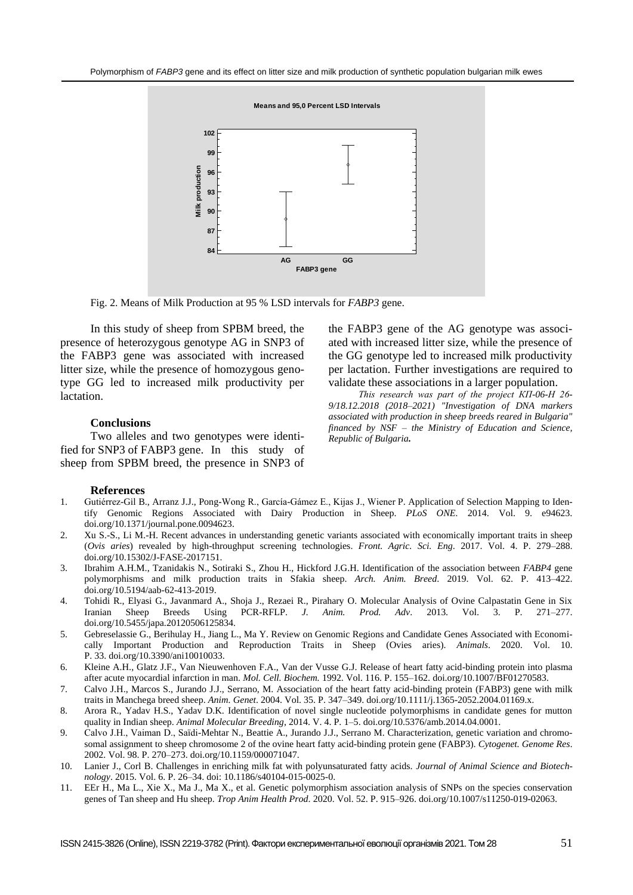

Fig. 2. Means of Milk Production at 95 % LSD intervals for *FABP3* gene.

In this study of sheep from SPBM breed, the presence of heterozygous genotype AG in SNP3 of the FABP3 gene was associated with increased litter size, while the presence of homozygous genotype GG led to increased milk productivity per lactation.

#### **Conclusions**

Two alleles and two genotypes were identified for SNP3 of FABP3 gene. In this study of sheep from SPBM breed, the presence in SNP3 of

# the FABP3 gene of the AG genotype was associated with increased litter size, while the presence of the GG genotype led to increased milk productivity per lactation. Further investigations are required to validate these associations in a larger population.

*This research was part of the project КП-06-Н 26- 9/18.12.2018 (2018–2021) "Investigation of DNA markers associated with production in sheep breeds reared in Bulgaria" financed by NSF – the Ministry of Education and Science, Republic of Bulgaria.*

#### **References**

- 1. Gutiérrez-Gil B., Arranz J.J., Pong-Wong R., García-Gámez E., Kijas J., Wiener P. Application of Selection Mapping to Identify Genomic Regions Associated with Dairy Production in Sheep. *PLoS ONE.* 2014. Vol. 9. e94623. doi.org/10.1371/journal.pone.0094623.
- 2. Xu S.-S., Li M.-H. Recent advances in understanding genetic variants associated with economically important traits in sheep (*Ovis aries*) revealed by high-throughput screening technologies. *Front. Agric. Sci. Eng*. 2017. Vol. 4. P. 279–288. doi.org/10.15302/J-FASE-2017151.
- 3. Ibrahim A.H.M., Tzanidakis N., Sotiraki S., Zhou H., Hickford J.G.H. Identification of the association between *FABP4* gene polymorphisms and milk production traits in Sfakia sheep. *Arch. Anim. Breed*. 2019. Vol. 62. P. 413–422. doi.org/10.5194/aab-62-413-2019.
- 4. Tohidi R., Elyasi G., Javanmard A., Shoja J., Rezaei R., Pirahary O. Molecular Analysis of Ovine Calpastatin Gene in Six Iranian Sheep Breeds Using PCR-RFLP. *J. Anim. Prod. Adv*. 2013. Vol. 3. P. 271–277. doi.org/10.5455/japa.20120506125834.
- 5. Gebreselassie G., Berihulay H., Jiang L., Ma Y. Review on Genomic Regions and Candidate Genes Associated with Economically Important Production and Reproduction Traits in Sheep (Ovies aries). *Animals*. 2020. Vol. 10. P. 33. [doi.org/10.3390/ani10010033.](https://doi.org/10.3390/ani10010033)
- 6. Kleine A.H., Glatz J.F., Van Nieuwenhoven F.A., Van der Vusse G.J. Release of heart fatty acid-binding protein into plasma after acute myocardial infarction in man. *Mol. Cell. Biochem.* 1992. Vol. 116. P. 155–162. doi.org/10.1007/BF01270583.
- 7. Calvo J.H., Marcos S., Jurando J.J., Serrano, M. Association of the heart fatty acid-binding protein (FABP3) gene with milk traits in Manchega breed sheep. *Anim. Genet*. 2004. Vol. 35. P. 347–349. [doi.org/10.1111/j.1365-2052.2004.01169.x.](https://doi.org/10.1111/j.1365-2052.2004.01169.x)
- 8. Arora R., Yadav H.S., Yadav D.K. Identification of novel single nucleotide polymorphisms in candidate genes for mutton quality in Indian sheep. *Animal Molecular Breeding*, 2014. V. 4. P. 1–5. doi.org/10.5376/amb.2014.04.0001.
- 9. Calvo J.H., Vaiman D., Saïdi-Mehtar N., Beattie A., Jurando J.J., Serrano M. Characterization, genetic variation and chromosomal assignment to sheep chromosome 2 of the ovine heart fatty acid-binding protein gene (FABP3). *Cytogenet. Genome Res*. 2002. Vol. 98. P. 270–273. doi.org/10.1159/000071047.
- 10. Lanier J., Corl B. Challenges in enriching milk fat with polyunsaturated fatty acids. *Journal of Animal Science and Biotechnology*. 2015. Vol. 6. P. 26–34. doi: 10.1186/s40104-015-0025-0.
- 11. EEr H., Ma L., Xie X., Ma J., Ma X., et al. Genetic polymorphism association analysis of SNPs on the species conservation genes of Tan sheep and Hu sheep. *Trop Anim Health Prod*. 2020. Vol. 52. P. 915–926. [doi.org/10.1007/s11250-019-02063.](https://doi.org/10.1007/s11250-019-02063)